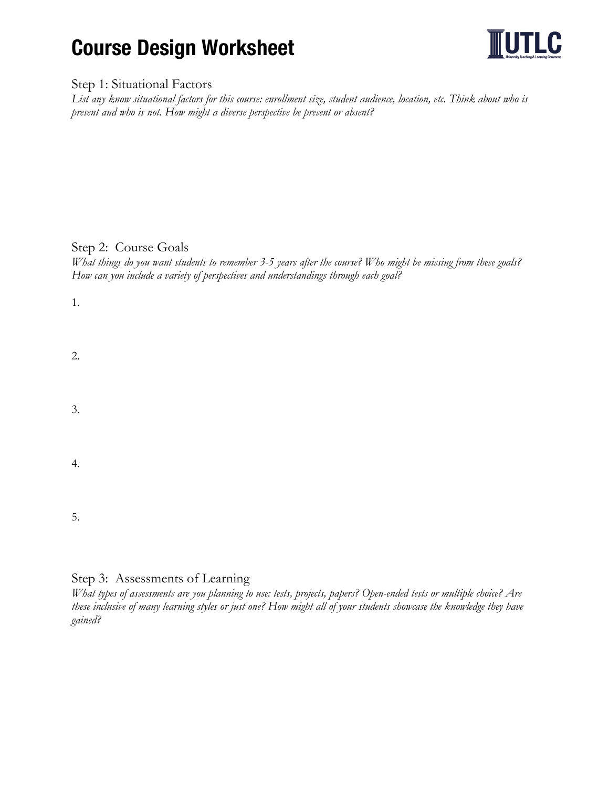# Course Design Worksheet



### Step 1: Situational Factors

*List any know situational factors for this course: enrollment size, student audience, location, etc. Think about who is present and who is not. How might a diverse perspective be present or absent?*

## Step 2: Course Goals

*What things do you want students to remember 3-5 years after the course? Who might be missing from these goals? How can you include a variety of perspectives and understandings through each goal?*

| 1. |  |  |  |
|----|--|--|--|
| 2. |  |  |  |
| 3. |  |  |  |
| 4. |  |  |  |
| 5. |  |  |  |

## Step 3: Assessments of Learning

*What types of assessments are you planning to use: tests, projects, papers? Open-ended tests or multiple choice? Are these inclusive of many learning styles or just one? How might all of your students showcase the knowledge they have gained?*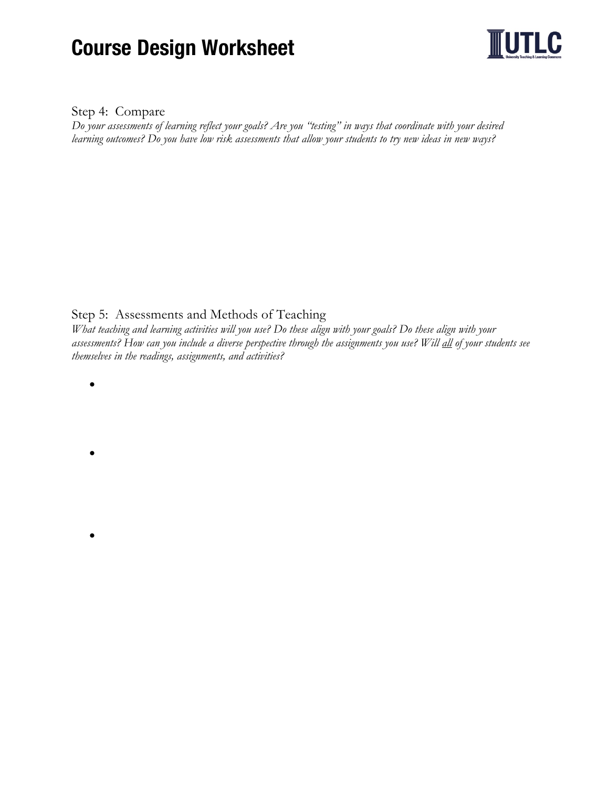# Course Design Worksheet



#### Step 4: Compare

*Do your assessments of learning reflect your goals? Are you "testing" in ways that coordinate with your desired learning outcomes? Do you have low risk assessments that allow your students to try new ideas in new ways?*

Step 5: Assessments and Methods of Teaching

*What teaching and learning activities will you use? Do these align with your goals? Do these align with your assessments? How can you include a diverse perspective through the assignments you use? Will all of your students see themselves in the readings, assignments, and activities?* 

•

•

•